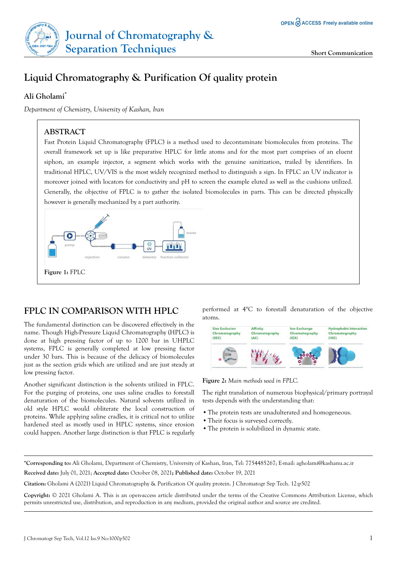

# **Ali Gholami\***

*Department of Chemistry, University of Kashan, Iran*

# **ABSTRACT**

Fast Protein Liquid Chromatography (FPLC) is a method used to decontaminate biomolecules from proteins. The overall framework set up is like preparative HPLC for little atoms and for the most part comprises of an eluent siphon, an example injector, a segment which works with the genuine sanitization, trailed by identifiers. In traditional HPLC, UV/VIS is the most widely recognized method to distinguish a sign. In FPLC an UV indicator is moreover joined with locators for conductivity and pH to screen the example eluted as well as the cushions utilized. Generally, the objective of FPLC is to gather the isolated biomolecules in parts. This can be directed physically however is generally mechanized by a part authority.



# **FPLC IN COMPARISON WITH HPLC**

The fundamental distinction can be discovered effectively in the name. Though High-Pressure Liquid Chromatography (HPLC) is done at high pressing factor of up to 1200 bar in UHPLC systems, FPLC is generally completed at low pressing factor under 30 bars. This is because of the delicacy of biomolecules just as the section grids which are utilized and are just steady at low pressing factor.

Another significant distinction is the solvents utilized in FPLC. For the purging of proteins, one uses saline cradles to forestall denaturation of the biomolecules. Natural solvents utilized in old style HPLC would obliterate the local construction of proteins. While applying saline cradles, it is critical not to utilize hardened steel as mostly used in HPLC systems, since erosion could happen. Another large distinction is that FPLC is regularly

performed at 4°C to forestall denaturation of the objective atoms.



**Figure 2:** *Main methods used in FPLC.*

The right translation of numerous biophysical/primary portrayal tests depends with the understanding that:

- **•**The protein tests are unadulterated and homogeneous.
- **•**Their focus is surveyed correctly.
- **•**The protein is solubilized in dynamic state.

**\*Corresponding to:** Ali Gholami, Department of Chemistry, University of Kashan, Iran, Tel: 7754485267; E-mail: [agholami@kashanu.ac.ir](mailto:agholami@kashanu.ac.ir)

**Received date:** July 01, 2021; **Accepted date:** October 08, 2021**; Published date:** October 19, 2021

**Citation:** Gholami A (2021) Liquid Chromatography & Purification Of quality protein. J Chromatogr Sep Tech. 12:p502

**Copyright:** © 2021 Gholami A. This is an open-access article distributed under the terms of the Creative Commons Attribution License, which permits unrestricted use, distribution, and reproduction in any medium, provided the original author and source are credited.